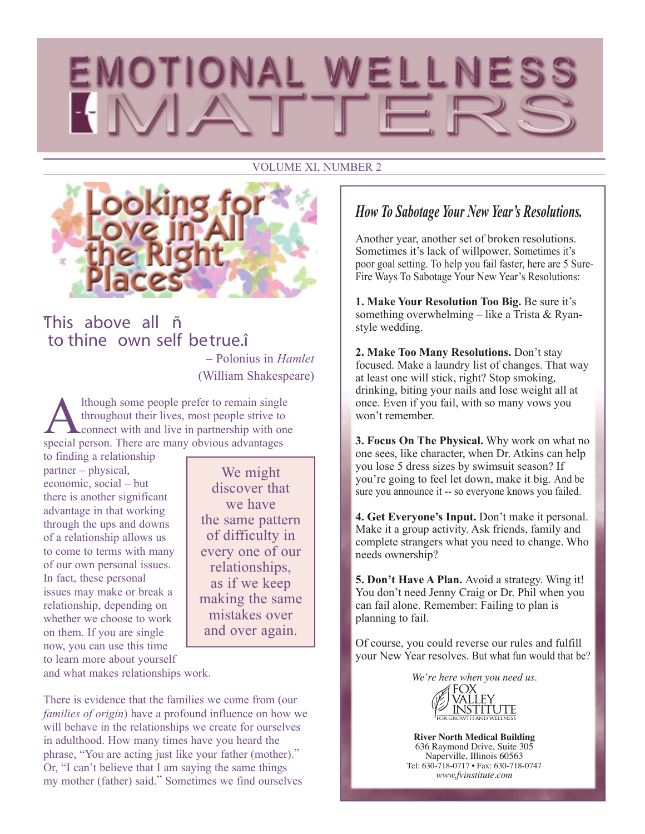#### VOLUME XI, NUMBER 2



### "This above all ñ to thine own self betrue.î

– Polonius in *Hamlet* (William Shakespeare)

Although some people prefer to remain single<br>throughout their lives, most people strive to<br>connect with and live in partnership with one<br>special person. There are many obvious advantages throughout their lives, most people strive to special person. There are many obvious advantages

to finding a relationship partner – physical, economic, social – but there is another significant advantage in that working through the ups and downs of a relationship allows us to come to terms with many of our own personal issues. In fact, these personal issues may make or break a relationship, depending on whether we choose to work on them. If you are single now, you can use this time to learn more about yourself

We might discover that we have the same pattern of difficulty in every one of our relationships, as if we keep making the same mistakes over and over again.

and what makes relationships work.

There is evidence that the families we come from (our *families of origin*) have a profound influence on how we will behave in the relationships we create for ourselves in adulthood. How many times have you heard the phrase, "You are acting just like your father (mother)." Or, "I can't believe that I am saying the same things my mother (father) said." Sometimes we find ourselves

#### *How To Sabotage Your New Year's Resolutions.*

Another year, another set of broken resolutions. Sometimes it's lack of willpower. Sometimes it's poor goal setting. To help you fail faster, here are 5 Sure-Fire Ways To Sabotage Your New Year's Resolutions:

**1. Make Your Resolution Too Big.** Be sure it's something overwhelming – like a Trista & Ryanstyle wedding.

**2. Make Too Many Resolutions.** Don't stay focused. Make a laundry list of changes. That way at least one will stick, right? Stop smoking, drinking, biting your nails and lose weight all at once. Even if you fail, with so many vows you won't remember.

**3. Focus On The Physical.** Why work on what no one sees, like character, when Dr. Atkins can help you lose 5 dress sizes by swimsuit season? If you're going to feel let down, make it big. And be sure you announce it -- so everyone knows you failed.

**4. Get Everyone's Input.** Don't make it personal. Make it a group activity. Ask friends, family and complete strangers what you need to change. Who needs ownership?

**5. Don't Have A Plan.** Avoid a strategy. Wing it! You don't need Jenny Craig or Dr. Phil when you can fail alone. Remember: Failing to plan is planning to fail.

Of course, you could reverse our rules and fulfill your New Year resolves. But what fun would that be?



**River North Medical Building** 636 Raymond Drive, Suite 305 Naperville, Illinois 60563 Tel: 630-718-0717 • Fax: 630-718-0747 *www.fvinstitute.com*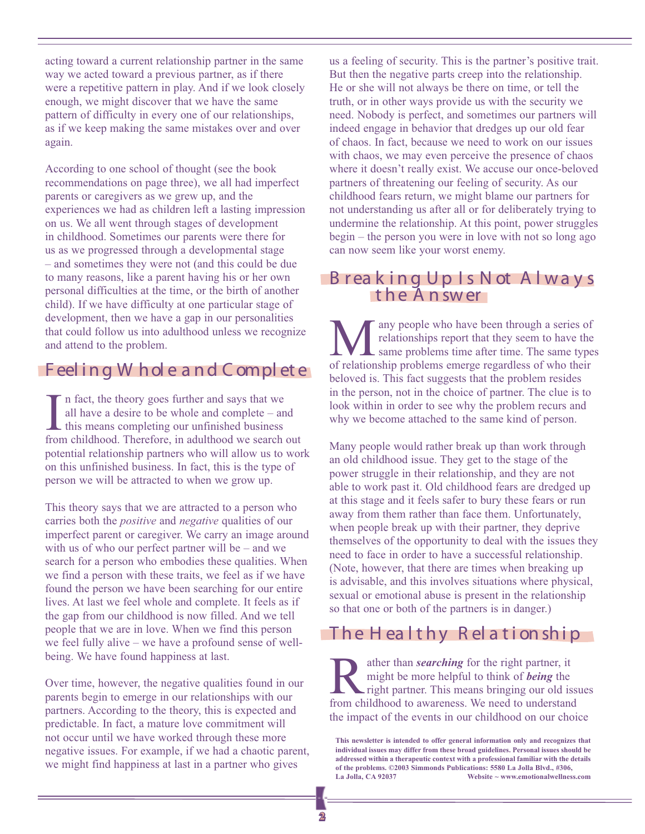acting toward a current relationship partner in the same way we acted toward a previous partner, as if there were a repetitive pattern in play. And if we look closely enough, we might discover that we have the same pattern of difficulty in every one of our relationships, as if we keep making the same mistakes over and over again.

According to one school of thought (see the book recommendations on page three), we all had imperfect parents or caregivers as we grew up, and the experiences we had as children left a lasting impression on us. We all went through stages of development in childhood. Sometimes our parents were there for us as we progressed through a developmental stage – and sometimes they were not (and this could be due to many reasons, like a parent having his or her own personal difficulties at the time, or the birth of another child). If we have difficulty at one particular stage of development, then we have a gap in our personalities that could follow us into adulthood unless we recognize and attend to the problem.

#### Feeling W hole and Complete

 $\prod_{\text{front}}$ n fact, the theory goes further and says that we all have a desire to be whole and complete – and this means completing our unfinished business from childhood. Therefore, in adulthood we search out potential relationship partners who will allow us to work on this unfinished business. In fact, this is the type of person we will be attracted to when we grow up.

This theory says that we are attracted to a person who carries both the *positive* and *negative* qualities of our imperfect parent or caregiver. We carry an image around with us of who our perfect partner will be – and we search for a person who embodies these qualities. When we find a person with these traits, we feel as if we have found the person we have been searching for our entire lives. At last we feel whole and complete. It feels as if the gap from our childhood is now filled. And we tell people that we are in love. When we find this person we feel fully alive – we have a profound sense of wellbeing. We have found happiness at last.

Over time, however, the negative qualities found in our parents begin to emerge in our relationships with our partners. According to the theory, this is expected and predictable. In fact, a mature love commitment will not occur until we have worked through these more negative issues. For example, if we had a chaotic parent, we might find happiness at last in a partner who gives

us a feeling of security. This is the partner's positive trait. But then the negative parts creep into the relationship. He or she will not always be there on time, or tell the truth, or in other ways provide us with the security we need. Nobody is perfect, and sometimes our partners will indeed engage in behavior that dredges up our old fear of chaos. In fact, because we need to work on our issues with chaos, we may even perceive the presence of chaos where it doesn't really exist. We accuse our once-beloved partners of threatening our feeling of security. As our childhood fears return, we might blame our partners for not understanding us after all or for deliberately trying to undermine the relationship. At this point, power struggles begin – the person you were in love with not so long ago can now seem like your worst enemy.

#### B r eaking Up Is Not Always the A n swer

**M** any people who have been through a series of<br>relationships report that they seem to have the<br>of relationship problems emerge regardless of who their relationships report that they seem to have the same problems time after time. The same types of relationship problems emerge regardless of who their beloved is. This fact suggests that the problem resides in the person, not in the choice of partner. The clue is to look within in order to see why the problem recurs and why we become attached to the same kind of person.

Many people would rather break up than work through an old childhood issue. They get to the stage of the power struggle in their relationship, and they are not able to work past it. Old childhood fears are dredged up at this stage and it feels safer to bury these fears or run away from them rather than face them. Unfortunately, when people break up with their partner, they deprive themselves of the opportunity to deal with the issues they need to face in order to have a successful relationship. (Note, however, that there are times when breaking up is advisable, and this involves situations where physical, sexual or emotional abuse is present in the relationship so that one or both of the partners is in danger.)

## $The Healthy Relation ship$

**Rather than** *searching* for the right partner, it might be more helpful to think of *being* the right partner. This means bringing our old is from childhood to awareness. We need to understand might be more helpful to think of *being* the right partner. This means bringing our old issues from childhood to awareness. We need to understand the impact of the events in our childhood on our choice

**This newsletter is intended to offer general information only and recognizes that individual issues may differ from these broad guidelines. Personal issues should be addressed within a therapeutic context with a professional familiar with the details of the problems. ©2003 Simmonds Publications: 5580 La Jolla Blvd., #306, La Jolla, CA 92037 Website ~ www.emotionalwellness.com**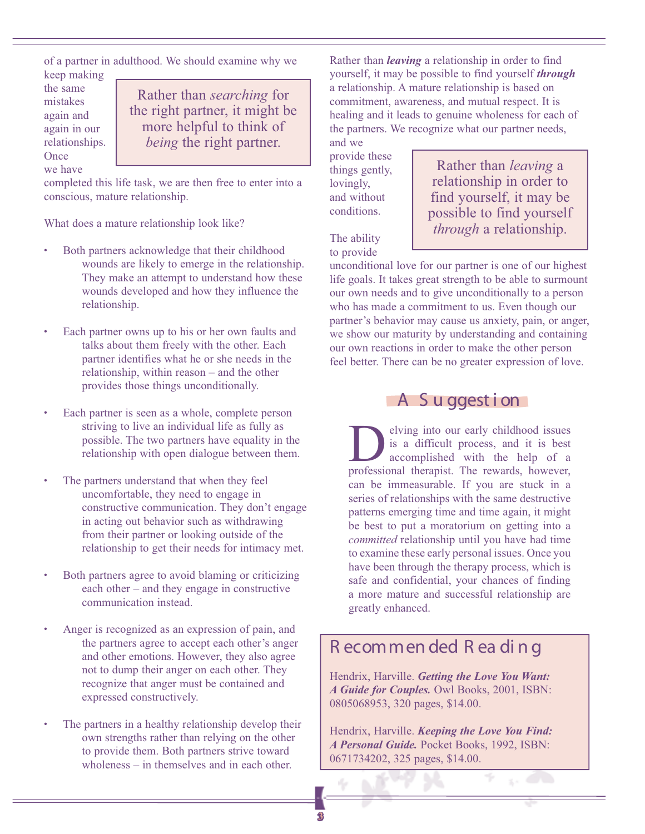of a partner in adulthood. We should examine why we keep making

the same mistakes again and again in our relationships. **Once** we have

Rather than *searching* for the right partner, it might be more helpful to think of *being* the right partner.

completed this life task, we are then free to enter into a conscious, mature relationship.

What does a mature relationship look like?

- Both partners acknowledge that their childhood wounds are likely to emerge in the relationship. They make an attempt to understand how these wounds developed and how they influence the relationship.
- Each partner owns up to his or her own faults and talks about them freely with the other. Each partner identifies what he or she needs in the relationship, within reason – and the other provides those things unconditionally.
- Each partner is seen as a whole, complete person striving to live an individual life as fully as possible. The two partners have equality in the relationship with open dialogue between them.
- The partners understand that when they feel uncomfortable, they need to engage in constructive communication. They don't engage in acting out behavior such as withdrawing from their partner or looking outside of the relationship to get their needs for intimacy met.
- Both partners agree to avoid blaming or criticizing each other – and they engage in constructive communication instead.
- Anger is recognized as an expression of pain, and the partners agree to accept each other's anger and other emotions. However, they also agree not to dump their anger on each other. They recognize that anger must be contained and expressed constructively.
- The partners in a healthy relationship develop their own strengths rather than relying on the other to provide them. Both partners strive toward wholeness – in themselves and in each other.

Rather than *leaving* a relationship in order to find yourself, it may be possible to find yourself *through* a relationship. A mature relationship is based on commitment, awareness, and mutual respect. It is healing and it leads to genuine wholeness for each of the partners. We recognize what our partner needs, and we

provide these things gently, lovingly, and without conditions.

Rather than *leaving* a relationship in order to find yourself, it may be possible to find yourself *through* a relationship.

The ability to provide

unconditional love for our partner is one of our highest life goals. It takes great strength to be able to surmount our own needs and to give unconditionally to a person who has made a commitment to us. Even though our partner's behavior may cause us anxiety, pain, or anger, we show our maturity by understanding and containing our own reactions in order to make the other person feel better. There can be no greater expression of love.

#### A S u ggest i on

**D** elving into our early childhood issues<br>is a difficult process, and it is best<br>accomplished with the help of a<br>professional therapist The rewards however is a difficult process, and it is best accomplished with the help of a professional therapist. The rewards, however, can be immeasurable. If you are stuck in a series of relationships with the same destructive patterns emerging time and time again, it might be best to put a moratorium on getting into a *committed* relationship until you have had time to examine these early personal issues. Once you have been through the therapy process, which is safe and confidential, your chances of finding a more mature and successful relationship are greatly enhanced.

## R ecommen ded R ea di n g

Hendrix, Harville. *Getting the Love You Want: A Guide for Couples.* Owl Books, 2001, ISBN: 0805068953, 320 pages, \$14.00.

Hendrix, Harville. *Keeping the Love You Find: A Personal Guide.* Pocket Books, 1992, ISBN: 0671734202, 325 pages, \$14.00.